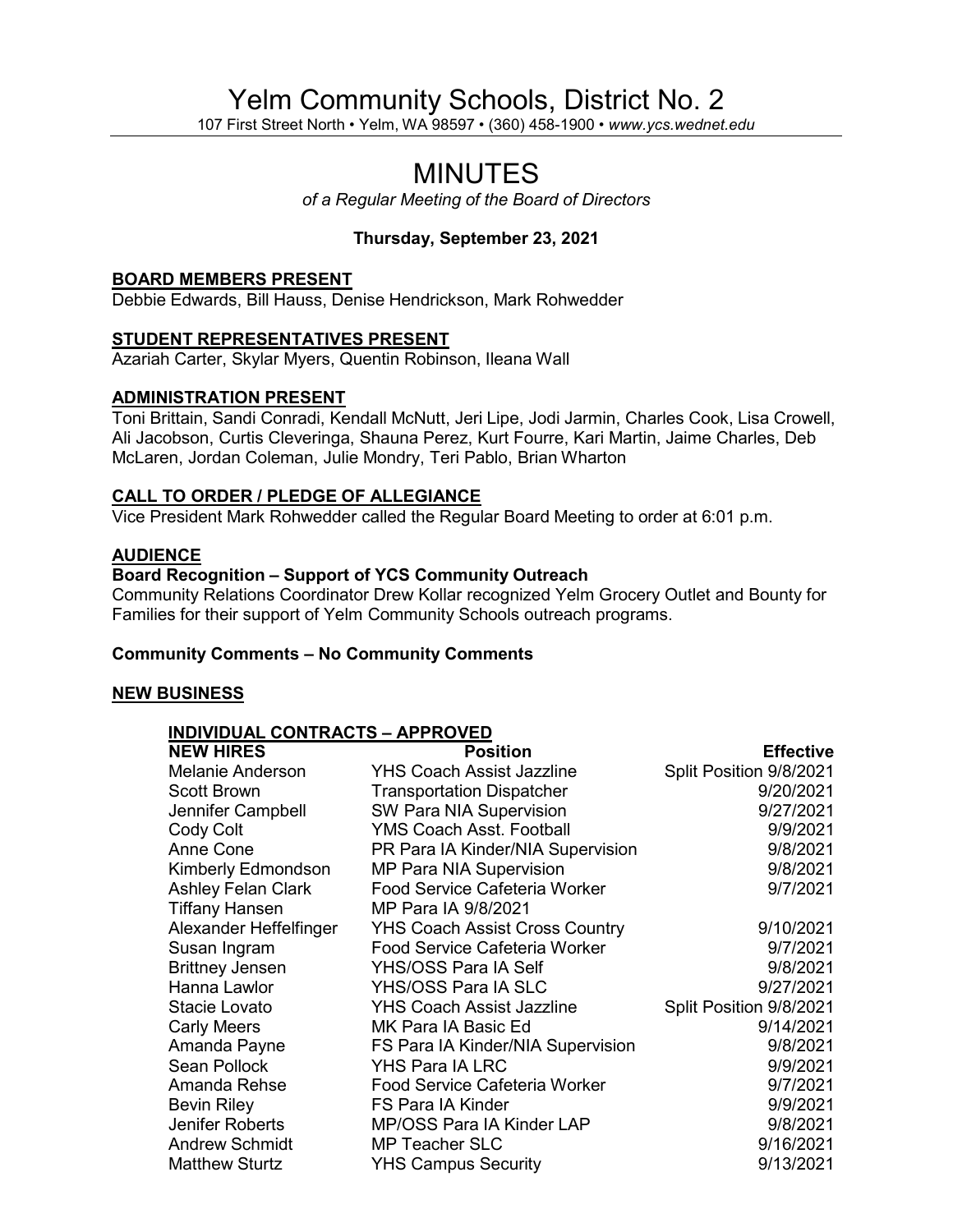# Yelm Community Schools, District No. 2

107 First Street North • Yelm, WA 98597 • (360) 458-1900 • *[www.ycs.wednet.edu](http://www.ycs.wednet.edu/)*

# MINUTES

*of a Regular Meeting of the Board of Directors*

# **Thursday, September 23, 2021**

#### **BOARD MEMBERS PRESENT**

Debbie Edwards, Bill Hauss, Denise Hendrickson, Mark Rohwedder

#### **STUDENT REPRESENTATIVES PRESENT**

Azariah Carter, Skylar Myers, Quentin Robinson, Ileana Wall

### **ADMINISTRATION PRESENT**

Toni Brittain, Sandi Conradi, Kendall McNutt, Jeri Lipe, Jodi Jarmin, Charles Cook, Lisa Crowell, Ali Jacobson, Curtis Cleveringa, Shauna Perez, Kurt Fourre, Kari Martin, Jaime Charles, Deb McLaren, Jordan Coleman, Julie Mondry, Teri Pablo, Brian Wharton

#### **CALL TO ORDER / PLEDGE OF ALLEGIANCE**

Vice President Mark Rohwedder called the Regular Board Meeting to order at 6:01 p.m.

#### **AUDIENCE**

#### **Board Recognition – Support of YCS Community Outreach**

Community Relations Coordinator Drew Kollar recognized Yelm Grocery Outlet and Bounty for Families for their support of Yelm Community Schools outreach programs.

#### **Community Comments – No Community Comments**

#### **NEW BUSINESS**

|--|

| <b>NEW HIRES</b>          | <b>Position</b>                       | <b>Effective</b>        |
|---------------------------|---------------------------------------|-------------------------|
| <b>Melanie Anderson</b>   | <b>YHS Coach Assist Jazzline</b>      | Split Position 9/8/2021 |
| <b>Scott Brown</b>        | <b>Transportation Dispatcher</b>      | 9/20/2021               |
| Jennifer Campbell         | <b>SW Para NIA Supervision</b>        | 9/27/2021               |
| Cody Colt                 | YMS Coach Asst. Football              | 9/9/2021                |
| Anne Cone                 | PR Para IA Kinder/NIA Supervision     | 9/8/2021                |
| Kimberly Edmondson        | <b>MP Para NIA Supervision</b>        | 9/8/2021                |
| <b>Ashley Felan Clark</b> | <b>Food Service Cafeteria Worker</b>  | 9/7/2021                |
| <b>Tiffany Hansen</b>     | MP Para IA 9/8/2021                   |                         |
| Alexander Heffelfinger    | <b>YHS Coach Assist Cross Country</b> | 9/10/2021               |
| Susan Ingram              | <b>Food Service Cafeteria Worker</b>  | 9/7/2021                |
| <b>Brittney Jensen</b>    | YHS/OSS Para IA Self                  | 9/8/2021                |
| Hanna Lawlor              | YHS/OSS Para IA SLC                   | 9/27/2021               |
| Stacie Lovato             | <b>YHS Coach Assist Jazzline</b>      | Split Position 9/8/2021 |
| <b>Carly Meers</b>        | MK Para IA Basic Ed                   | 9/14/2021               |
| Amanda Payne              | FS Para IA Kinder/NIA Supervision     | 9/8/2021                |
| Sean Pollock              | YHS Para IA LRC                       | 9/9/2021                |
| Amanda Rehse              | <b>Food Service Cafeteria Worker</b>  | 9/7/2021                |
| <b>Bevin Riley</b>        | <b>FS Para IA Kinder</b>              | 9/9/2021                |
| Jenifer Roberts           | MP/OSS Para IA Kinder LAP             | 9/8/2021                |
| <b>Andrew Schmidt</b>     | <b>MP Teacher SLC</b>                 | 9/16/2021               |
| <b>Matthew Sturtz</b>     | <b>YHS Campus Security</b>            | 9/13/2021               |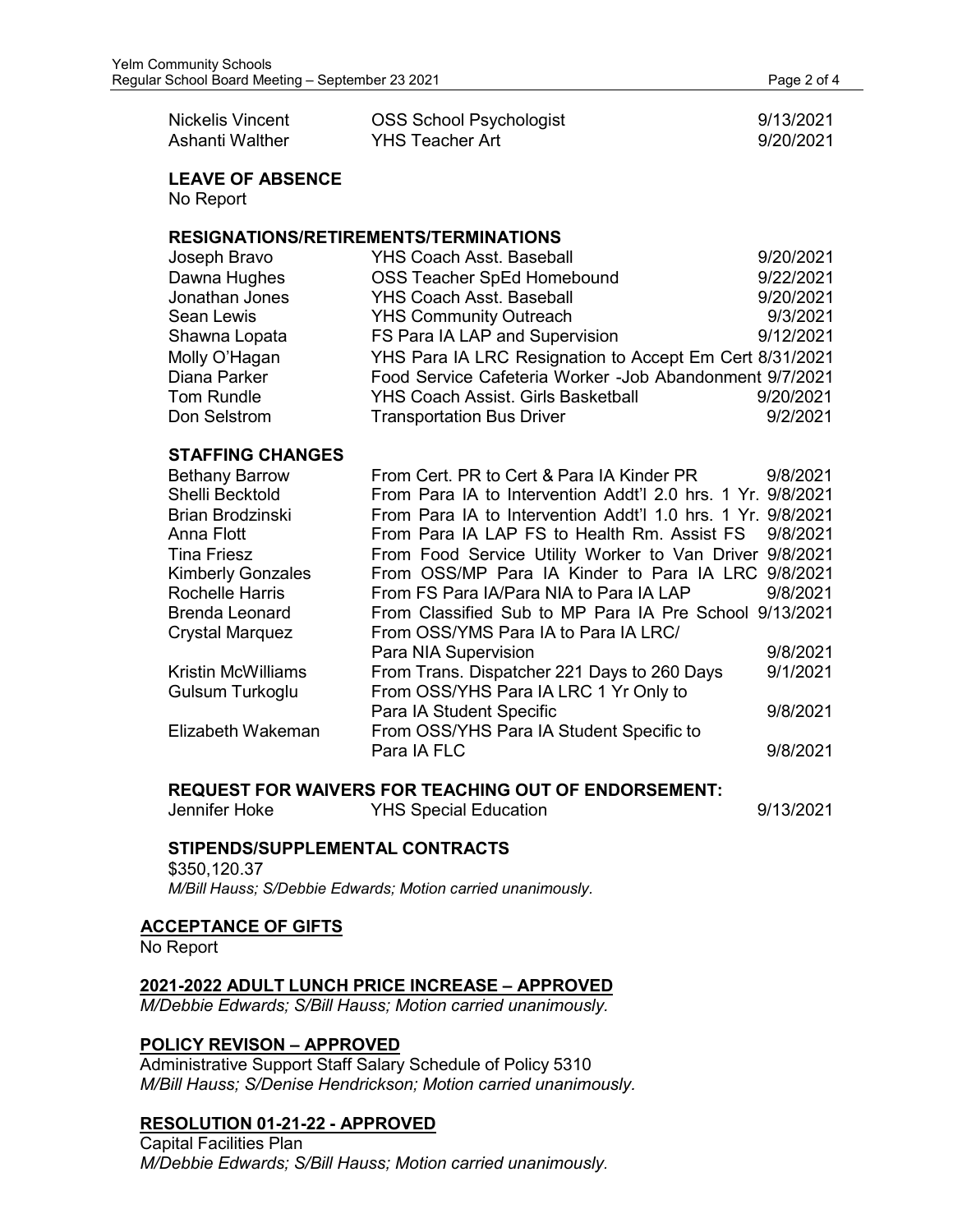| Nickelis Vincent | <b>OSS School Psychologist</b> | 9/13/2021 |
|------------------|--------------------------------|-----------|
| Ashanti Walther  | YHS Teacher Art                | 9/20/2021 |

**LEAVE OF ABSENCE** No Report

#### **RESIGNATIONS/RETIREMENTS/TERMINATIONS**

| Joseph Bravo   | <b>YHS Coach Asst. Baseball</b>                         | 9/20/2021 |
|----------------|---------------------------------------------------------|-----------|
| Dawna Hughes   | OSS Teacher SpEd Homebound                              | 9/22/2021 |
| Jonathan Jones | <b>YHS Coach Asst. Baseball</b>                         | 9/20/2021 |
| Sean Lewis     | <b>YHS Community Outreach</b>                           | 9/3/2021  |
| Shawna Lopata  | FS Para IA LAP and Supervision                          | 9/12/2021 |
| Molly O'Hagan  | YHS Para IA LRC Resignation to Accept Em Cert 8/31/2021 |           |
| Diana Parker   | Food Service Cafeteria Worker -Job Abandonment 9/7/2021 |           |
| Tom Rundle     | <b>YHS Coach Assist. Girls Basketball</b>               | 9/20/2021 |
| Don Selstrom   | <b>Transportation Bus Driver</b>                        | 9/2/2021  |

#### **STAFFING CHANGES**

| <b>Bethany Barrow</b>    | From Cert. PR to Cert & Para IA Kinder PR                   | 9/8/2021 |
|--------------------------|-------------------------------------------------------------|----------|
| Shelli Becktold          | From Para IA to Intervention Addt'l 2.0 hrs. 1 Yr. 9/8/2021 |          |
| <b>Brian Brodzinski</b>  | From Para IA to Intervention Addt'l 1.0 hrs. 1 Yr. 9/8/2021 |          |
| Anna Flott               | From Para IA LAP FS to Health Rm. Assist FS 9/8/2021        |          |
| <b>Tina Friesz</b>       | From Food Service Utility Worker to Van Driver 9/8/2021     |          |
| <b>Kimberly Gonzales</b> | From OSS/MP Para IA Kinder to Para IA LRC 9/8/2021          |          |
| <b>Rochelle Harris</b>   | From FS Para IA/Para NIA to Para IA LAP                     | 9/8/2021 |
| <b>Brenda Leonard</b>    | From Classified Sub to MP Para IA Pre School 9/13/2021      |          |
| <b>Crystal Marquez</b>   | From OSS/YMS Para IA to Para IA LRC/                        |          |
|                          | Para NIA Supervision                                        | 9/8/2021 |
| Kristin McWilliams       | From Trans. Dispatcher 221 Days to 260 Days                 | 9/1/2021 |
| Gulsum Turkoglu          | From OSS/YHS Para IA LRC 1 Yr Only to                       |          |
|                          | Para IA Student Specific                                    | 9/8/2021 |
| Elizabeth Wakeman        | From OSS/YHS Para IA Student Specific to                    |          |
|                          | Para IA FLC                                                 | 9/8/2021 |

#### **REQUEST FOR WAIVERS FOR TEACHING OUT OF ENDORSEMENT:**

Jennifer Hoke YHS Special Education 9/13/2021

## **STIPENDS/SUPPLEMENTAL CONTRACTS**

#### \$350,120.37 *M/Bill Hauss; S/Debbie Edwards; Motion carried unanimously.*

#### **ACCEPTANCE OF GIFTS**

No Report

#### **2021-2022 ADULT LUNCH PRICE INCREASE – APPROVED**

*M/Debbie Edwards; S/Bill Hauss; Motion carried unanimously.*

## **POLICY REVISON – APPROVED**

Administrative Support Staff Salary Schedule of Policy 5310 *M/Bill Hauss; S/Denise Hendrickson; Motion carried unanimously.*

# **RESOLUTION 01-21-22 - APPROVED**

Capital Facilities Plan *M/Debbie Edwards; S/Bill Hauss; Motion carried unanimously.*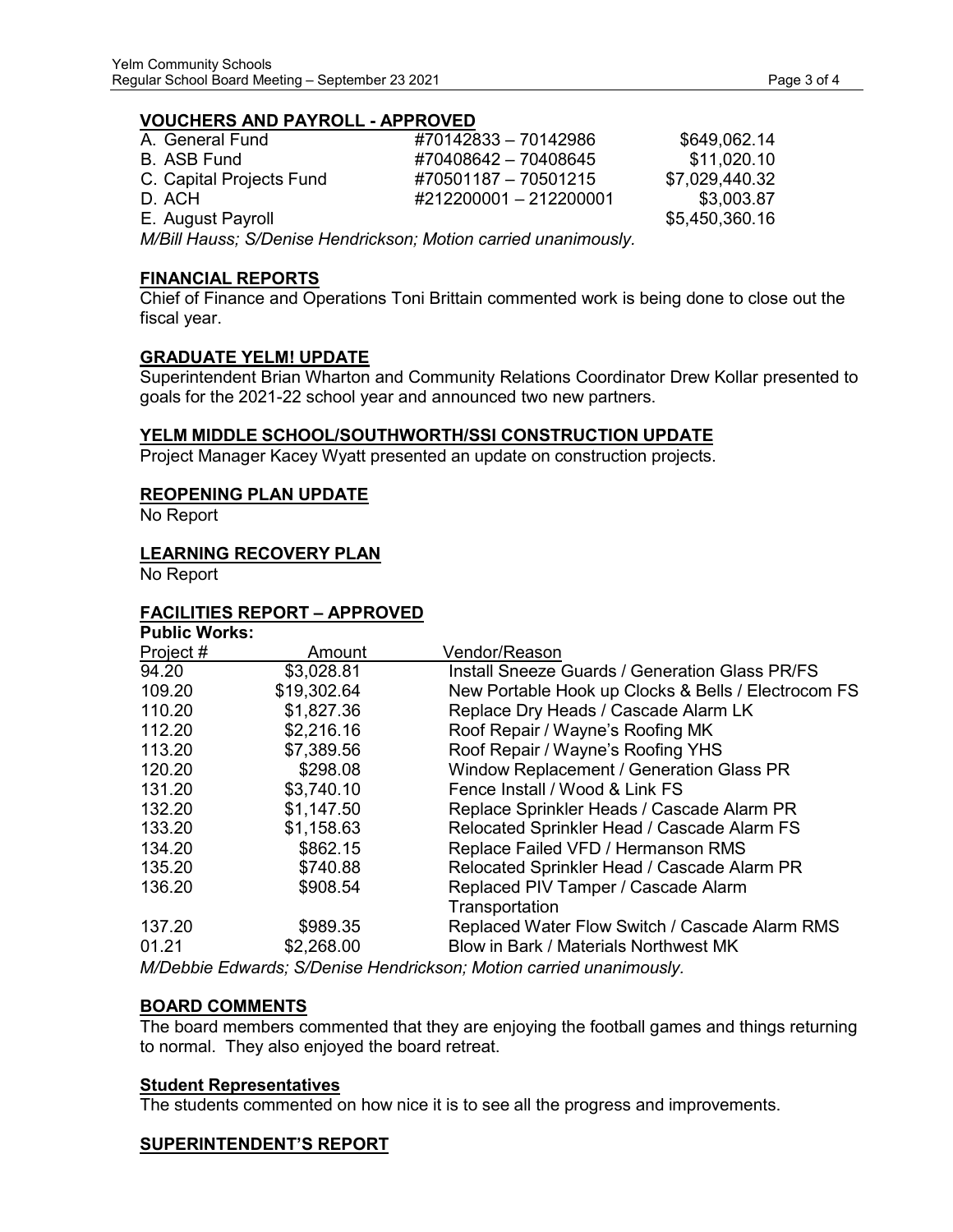#### **VOUCHERS AND PAYROLL - APPROVED**

| A. General Fund          | #70142833 - 70142986   | \$649,062.14   |
|--------------------------|------------------------|----------------|
| B. ASB Fund              | #70408642 - 70408645   | \$11,020.10    |
| C. Capital Projects Fund | #70501187 - 70501215   | \$7.029.440.32 |
| D. ACH                   | #212200001 - 212200001 | \$3,003.87     |
| E. August Payroll        |                        | \$5,450,360.16 |

*M/Bill Hauss; S/Denise Hendrickson; Motion carried unanimously.*

#### **FINANCIAL REPORTS**

Chief of Finance and Operations Toni Brittain commented work is being done to close out the fiscal year.

#### **GRADUATE YELM! UPDATE**

Superintendent Brian Wharton and Community Relations Coordinator Drew Kollar presented to goals for the 2021-22 school year and announced two new partners.

#### **YELM MIDDLE SCHOOL/SOUTHWORTH/SSI CONSTRUCTION UPDATE**

Project Manager Kacey Wyatt presented an update on construction projects.

#### **REOPENING PLAN UPDATE**

No Report

#### **LEARNING RECOVERY PLAN**

No Report

#### **FACILITIES REPORT – APPROVED**

| <b>Public Works:</b> |             |                                                       |
|----------------------|-------------|-------------------------------------------------------|
| Project #            | Amount      | Vendor/Reason                                         |
| 94.20                | \$3,028.81  | <b>Install Sneeze Guards / Generation Glass PR/FS</b> |
| 109.20               | \$19,302.64 | New Portable Hook up Clocks & Bells / Electrocom FS   |
| 110.20               | \$1,827.36  | Replace Dry Heads / Cascade Alarm LK                  |
| 112.20               | \$2,216.16  | Roof Repair / Wayne's Roofing MK                      |
| 113.20               | \$7,389.56  | Roof Repair / Wayne's Roofing YHS                     |
| 120.20               | \$298.08    | Window Replacement / Generation Glass PR              |
| 131.20               | \$3,740.10  | Fence Install / Wood & Link FS                        |
| 132.20               | \$1,147.50  | Replace Sprinkler Heads / Cascade Alarm PR            |
| 133.20               | \$1,158.63  | Relocated Sprinkler Head / Cascade Alarm FS           |
| 134.20               | \$862.15    | Replace Failed VFD / Hermanson RMS                    |
| 135.20               | \$740.88    | Relocated Sprinkler Head / Cascade Alarm PR           |
| 136.20               | \$908.54    | Replaced PIV Tamper / Cascade Alarm                   |
|                      |             | Transportation                                        |
| 137.20               | \$989.35    | Replaced Water Flow Switch / Cascade Alarm RMS        |
| 01.21                | \$2,268.00  | Blow in Bark / Materials Northwest MK                 |
|                      |             |                                                       |

*M/Debbie Edwards; S/Denise Hendrickson; Motion carried unanimously.*

## **BOARD COMMENTS**

The board members commented that they are enjoying the football games and things returning to normal. They also enjoyed the board retreat.

#### **Student Representatives**

The students commented on how nice it is to see all the progress and improvements.

## **SUPERINTENDENT'S REPORT**